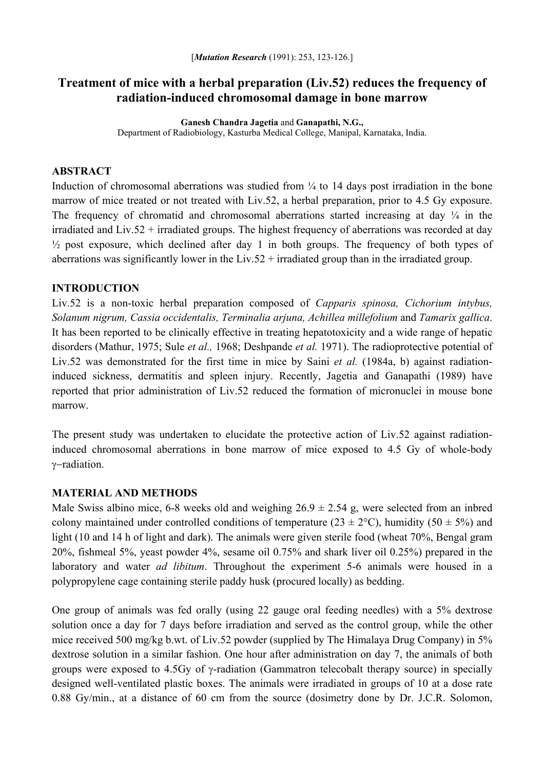# **Treatment of mice with a herbal preparation (Liv.52) reduces the frequency of radiation-induced chromosomal damage in bone marrow**

**Ganesh Chandra Jagetia** and **Ganapathi, N.G.,**  Department of Radiobiology, Kasturba Medical College, Manipal, Karnataka, India.

### **ABSTRACT**

Induction of chromosomal aberrations was studied from  $\frac{1}{4}$  to 14 days post irradiation in the bone marrow of mice treated or not treated with Liv.52, a herbal preparation, prior to 4.5 Gy exposure. The frequency of chromatid and chromosomal aberrations started increasing at day  $\frac{1}{4}$  in the irradiated and Liv.52 + irradiated groups. The highest frequency of aberrations was recorded at day  $\frac{1}{2}$  post exposure, which declined after day 1 in both groups. The frequency of both types of aberrations was significantly lower in the Liv.52 + irradiated group than in the irradiated group.

#### **INTRODUCTION**

Liv.52 is a non-toxic herbal preparation composed of *Capparis spinosa, Cichorium intybus, Solanum nigrum, Cassia occidentalis, Terminalia arjuna, Achillea millefolium* and *Tamarix gallica*. It has been reported to be clinically effective in treating hepatotoxicity and a wide range of hepatic disorders (Mathur, 1975; Sule *et al.,* 1968; Deshpande *et al.* 1971). The radioprotective potential of Liv.52 was demonstrated for the first time in mice by Saini *et al.* (1984a, b) against radiationinduced sickness, dermatitis and spleen injury. Recently, Jagetia and Ganapathi (1989) have reported that prior administration of Liv.52 reduced the formation of micronuclei in mouse bone marrow.

The present study was undertaken to elucidate the protective action of Liv.52 against radiationinduced chromosomal aberrations in bone marrow of mice exposed to 4.5 Gy of whole-body γ−radiation.

### **MATERIAL AND METHODS**

Male Swiss albino mice, 6-8 weeks old and weighing  $26.9 \pm 2.54$  g, were selected from an inbred colony maintained under controlled conditions of temperature ( $23 \pm 2$ °C), humidity ( $50 \pm 5\%$ ) and light (10 and 14 h of light and dark). The animals were given sterile food (wheat 70%, Bengal gram 20%, fishmeal 5%, yeast powder 4%, sesame oil 0.75% and shark liver oil 0.25%) prepared in the laboratory and water *ad libitum*. Throughout the experiment 5-6 animals were housed in a polypropylene cage containing sterile paddy husk (procured locally) as bedding.

One group of animals was fed orally (using 22 gauge oral feeding needles) with a 5% dextrose solution once a day for 7 days before irradiation and served as the control group, while the other mice received 500 mg/kg b.wt. of Liv.52 powder (supplied by The Himalaya Drug Company) in 5% dextrose solution in a similar fashion. One hour after administration on day 7, the animals of both groups were exposed to 4.5Gy of γ-radiation (Gammatron telecobalt therapy source) in specially designed well-ventilated plastic boxes. The animals were irradiated in groups of 10 at a dose rate 0.88 Gy/min., at a distance of 60 cm from the source (dosimetry done by Dr. J.C.R. Solomon,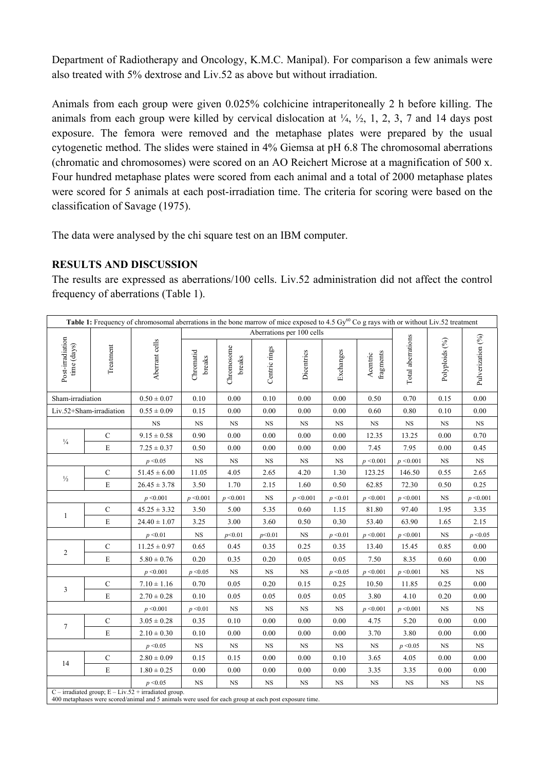Department of Radiotherapy and Oncology, K.M.C. Manipal). For comparison a few animals were also treated with 5% dextrose and Liv.52 as above but without irradiation.

Animals from each group were given 0.025% colchicine intraperitoneally 2 h before killing. The animals from each group were killed by cervical dislocation at  $\frac{1}{4}$ ,  $\frac{1}{2}$ , 1, 2, 3, 7 and 14 days post exposure. The femora were removed and the metaphase plates were prepared by the usual cytogenetic method. The slides were stained in 4% Giemsa at pH 6.8 The chromosomal aberrations (chromatic and chromosomes) were scored on an AO Reichert Microse at a magnification of 500 x. Four hundred metaphase plates were scored from each animal and a total of 2000 metaphase plates were scored for 5 animals at each post-irradiation time. The criteria for scoring were based on the classification of Savage (1975).

The data were analysed by the chi square test on an IBM computer.

## **RESULTS AND DISCUSSION**

The results are expressed as aberrations/100 cells. Liv.52 administration did not affect the control frequency of aberrations (Table 1).

| Table 1: Frequency of chromosomal aberrations in the bone marrow of mice exposed to 4.5 Gy <sup>60</sup> Co g rays with or without Liv.52 treatment              |                          |                  |                           |                      |               |            |             |                       |                   |                |                   |
|------------------------------------------------------------------------------------------------------------------------------------------------------------------|--------------------------|------------------|---------------------------|----------------------|---------------|------------|-------------|-----------------------|-------------------|----------------|-------------------|
|                                                                                                                                                                  | time (days)<br>Treatment | Aberrant cells   | Aberrations per 100 cells |                      |               |            |             |                       |                   |                |                   |
| Post-irradiation                                                                                                                                                 |                          |                  | Chromatid<br>breaks       | Chromosome<br>breaks | Centric rings | Dicentrics | Exchanges   | fragments<br>Acentric | Total aberrations | Polyploids (%) | Pulverization (%) |
| Sham-irradiation                                                                                                                                                 |                          | $0.50 \pm 0.07$  | 0.10                      | 0.00                 | 0.10          | 0.00       | 0.00        | 0.50                  | 0.70              | 0.15           | 0.00              |
| Liv.52+Sham-irradiation                                                                                                                                          |                          | $0.55 \pm 0.09$  | 0.15                      | 0.00                 | 0.00          | 0.00       | 0.00        | 0.60                  | 0.80              | 0.10           | 0.00              |
|                                                                                                                                                                  |                          | <b>NS</b>        | NS                        | <b>NS</b>            | $_{\rm NS}$   | <b>NS</b>  | NS          | NS                    | <b>NS</b>         | NS             | <b>NS</b>         |
| $\frac{1}{4}$                                                                                                                                                    | $\mathbf C$              | $9.15 \pm 0.58$  | 0.90                      | 0.00                 | 0.00          | 0.00       | 0.00        | 12.35                 | 13.25             | 0.00           | 0.70              |
|                                                                                                                                                                  | E                        | $7.25 \pm 0.37$  | 0.50                      | 0.00                 | 0.00          | 0.00       | 0.00        | 7.45                  | 7.95              | 0.00           | 0.45              |
|                                                                                                                                                                  |                          | p < 0.05         | $_{\rm NS}$               | $_{\rm NS}$          | $_{\rm NS}$   | <b>NS</b>  | $_{\rm NS}$ | p < 0.001             | p < 0.001         | $_{\rm NS}$    | $_{\rm NS}$       |
| $\frac{1}{2}$                                                                                                                                                    | ${\bf C}$                | $51.45 \pm 6.00$ | 11.05                     | 4.05                 | 2.65          | 4.20       | 1.30        | 123.25                | 146.50            | 0.55           | 2.65              |
|                                                                                                                                                                  | $\mathbf E$              | $26.45 \pm 3.78$ | 3.50                      | 1.70                 | 2.15          | 1.60       | 0.50        | 62.85                 | 72.30             | 0.50           | 0.25              |
|                                                                                                                                                                  |                          | p < 0.001        | p < 0.001                 | p < 0.001            | $_{\rm NS}$   | p < 0.001  | p < 0.01    | p < 0.001             | p < 0.001         | <b>NS</b>      | p < 0.001         |
| $\mathbf{1}$                                                                                                                                                     | ${\bf C}$                | $45.25 \pm 3.32$ | 3.50                      | 5.00                 | 5.35          | 0.60       | 1.15        | 81.80                 | 97.40             | 1.95           | 3.35              |
|                                                                                                                                                                  | ${\bf E}$                | $24.40 \pm 1.07$ | 3.25                      | 3.00                 | 3.60          | 0.50       | 0.30        | 53.40                 | 63.90             | 1.65           | 2.15              |
|                                                                                                                                                                  |                          | p < 0.01         | $_{\rm NS}$               | p<0.01               | p<0.01        | <b>NS</b>  | p < 0.01    | p < 0.001             | p < 0.001         | <b>NS</b>      | p < 0.05          |
| $\overline{c}$                                                                                                                                                   | ${\bf C}$                | $11.25 \pm 0.97$ | 0.65                      | 0.45                 | 0.35          | 0.25       | 0.35        | 13.40                 | 15.45             | 0.85           | 0.00              |
|                                                                                                                                                                  | $\mathbf E$              | $5.80 \pm 0.76$  | 0.20                      | 0.35                 | 0.20          | 0.05       | 0.05        | 7.50                  | 8.35              | 0.60           | 0.00              |
|                                                                                                                                                                  |                          | p < 0.001        | p < 0.05                  | <b>NS</b>            | NS            | <b>NS</b>  | p < 0.05    | p < 0.001             | p < 0.001         | <b>NS</b>      | <b>NS</b>         |
| $\mathfrak{Z}$                                                                                                                                                   | ${\bf C}$                | $7.10 \pm 1.16$  | 0.70                      | 0.05                 | 0.20          | 0.15       | 0.25        | 10.50                 | 11.85             | 0.25           | 0.00              |
|                                                                                                                                                                  | E                        | $2.70 \pm 0.28$  | 0.10                      | 0.05                 | 0.05          | 0.05       | 0.05        | 3.80                  | 4.10              | 0.20           | 0.00              |
|                                                                                                                                                                  |                          | p < 0.001        | p < 0.01                  | $_{\rm NS}$          | $_{\rm NS}$   | NS         | $_{\rm NS}$ | p < 0.001             | p < 0.001         | <b>NS</b>      | $_{\rm NS}$       |
| $\tau$                                                                                                                                                           | ${\bf C}$                | $3.05 \pm 0.28$  | 0.35                      | $0.10\,$             | 0.00          | 0.00       | 0.00        | 4.75                  | 5.20              | 0.00           | 0.00              |
|                                                                                                                                                                  | $\mathbf E$              | $2.10 \pm 0.30$  | 0.10                      | 0.00                 | 0.00          | 0.00       | 0.00        | 3.70                  | 3.80              | 0.00           | 0.00              |
|                                                                                                                                                                  |                          | p < 0.05         | $_{\rm NS}$               | $_{\rm NS}$          | $_{\rm NS}$   | <b>NS</b>  | $_{\rm NS}$ | $_{\rm NS}$           | p < 0.05          | <b>NS</b>      | $_{\rm NS}$       |
| 14                                                                                                                                                               | ${\bf C}$                | $2.80 \pm 0.09$  | 0.15                      | 0.15                 | 0.00          | 0.00       | 0.10        | 3.65                  | 4.05              | 0.00           | 0.00              |
|                                                                                                                                                                  | E                        | $1.80 \pm 0.25$  | 0.00                      | $0.00\,$             | 0.00          | 0.00       | $0.00\,$    | 3.35                  | 3.35              | $0.00\,$       | 0.00              |
|                                                                                                                                                                  |                          | p < 0.05         | $_{\rm NS}$               | $_{\rm NS}$          | <b>NS</b>     | <b>NS</b>  | $_{\rm NS}$ | $_{\rm NS}$           | $_{\rm NS}$       | <b>NS</b>      | $_{\rm NS}$       |
| $C$ – irradiated group; $E - Liv.52 + irradiated group.$<br>400 metaphases were scored/animal and 5 animals were used for each group at each post exposure time. |                          |                  |                           |                      |               |            |             |                       |                   |                |                   |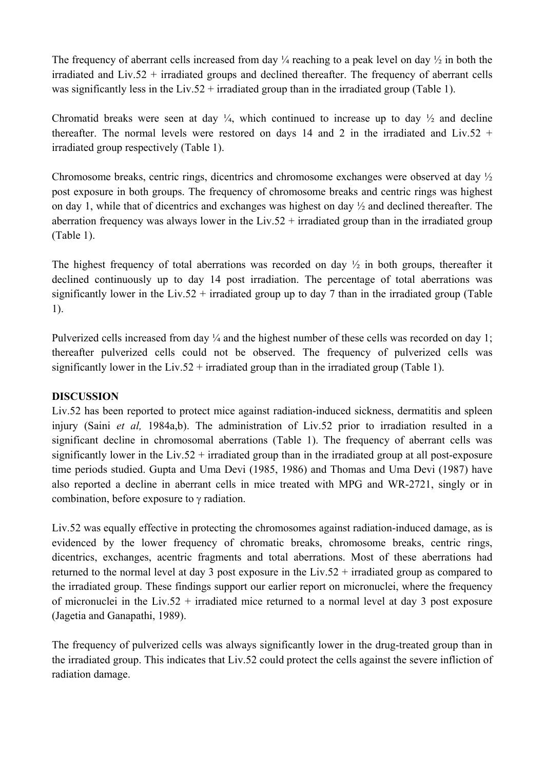The frequency of aberrant cells increased from day  $\frac{1}{4}$  reaching to a peak level on day  $\frac{1}{2}$  in both the irradiated and Liv.52 + irradiated groups and declined thereafter. The frequency of aberrant cells was significantly less in the Liv.52 + irradiated group than in the irradiated group (Table 1).

Chromatid breaks were seen at day  $\frac{1}{4}$ , which continued to increase up to day  $\frac{1}{2}$  and decline thereafter. The normal levels were restored on days 14 and 2 in the irradiated and Liv.52 + irradiated group respectively (Table 1).

Chromosome breaks, centric rings, dicentrics and chromosome exchanges were observed at day ½ post exposure in both groups. The frequency of chromosome breaks and centric rings was highest on day 1, while that of dicentrics and exchanges was highest on day ½ and declined thereafter. The aberration frequency was always lower in the Liv.52 + irradiated group than in the irradiated group (Table 1).

The highest frequency of total aberrations was recorded on day  $\frac{1}{2}$  in both groups, thereafter it declined continuously up to day 14 post irradiation. The percentage of total aberrations was significantly lower in the Liv.52 + irradiated group up to day 7 than in the irradiated group (Table 1).

Pulverized cells increased from day  $\frac{1}{4}$  and the highest number of these cells was recorded on day 1; thereafter pulverized cells could not be observed. The frequency of pulverized cells was significantly lower in the Liv.52 + irradiated group than in the irradiated group (Table 1).

## **DISCUSSION**

Liv.52 has been reported to protect mice against radiation-induced sickness, dermatitis and spleen injury (Saini *et al,* 1984a,b). The administration of Liv.52 prior to irradiation resulted in a significant decline in chromosomal aberrations (Table 1). The frequency of aberrant cells was significantly lower in the Liv.52 + irradiated group than in the irradiated group at all post-exposure time periods studied. Gupta and Uma Devi (1985, 1986) and Thomas and Uma Devi (1987) have also reported a decline in aberrant cells in mice treated with MPG and WR-2721, singly or in combination, before exposure to γ radiation.

Liv.52 was equally effective in protecting the chromosomes against radiation-induced damage, as is evidenced by the lower frequency of chromatic breaks, chromosome breaks, centric rings, dicentrics, exchanges, acentric fragments and total aberrations. Most of these aberrations had returned to the normal level at day 3 post exposure in the Liv.52 + irradiated group as compared to the irradiated group. These findings support our earlier report on micronuclei, where the frequency of micronuclei in the Liv.52 + irradiated mice returned to a normal level at day 3 post exposure (Jagetia and Ganapathi, 1989).

The frequency of pulverized cells was always significantly lower in the drug-treated group than in the irradiated group. This indicates that Liv.52 could protect the cells against the severe infliction of radiation damage.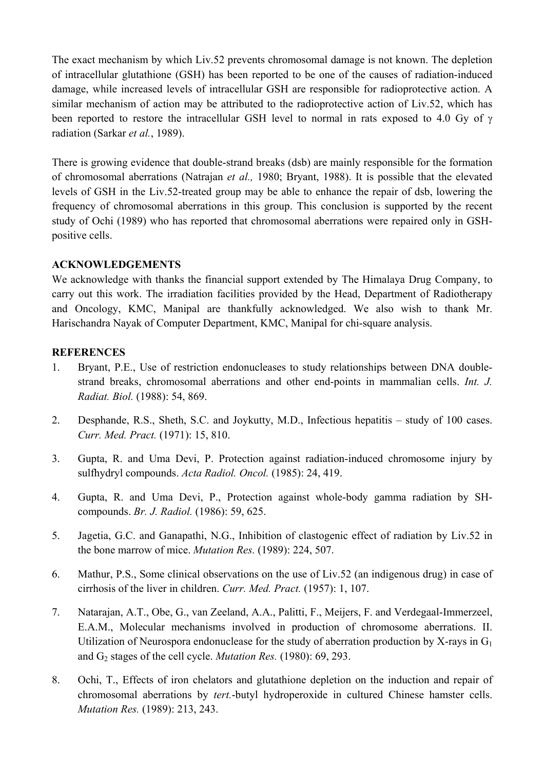The exact mechanism by which Liv.52 prevents chromosomal damage is not known. The depletion of intracellular glutathione (GSH) has been reported to be one of the causes of radiation-induced damage, while increased levels of intracellular GSH are responsible for radioprotective action. A similar mechanism of action may be attributed to the radioprotective action of Liv.52, which has been reported to restore the intracellular GSH level to normal in rats exposed to 4.0 Gy of γ radiation (Sarkar *et al.*, 1989).

There is growing evidence that double-strand breaks (dsb) are mainly responsible for the formation of chromosomal aberrations (Natrajan *et al.,* 1980; Bryant, 1988). It is possible that the elevated levels of GSH in the Liv.52-treated group may be able to enhance the repair of dsb, lowering the frequency of chromosomal aberrations in this group. This conclusion is supported by the recent study of Ochi (1989) who has reported that chromosomal aberrations were repaired only in GSHpositive cells.

### **ACKNOWLEDGEMENTS**

We acknowledge with thanks the financial support extended by The Himalaya Drug Company, to carry out this work. The irradiation facilities provided by the Head, Department of Radiotherapy and Oncology, KMC, Manipal are thankfully acknowledged. We also wish to thank Mr. Harischandra Nayak of Computer Department, KMC, Manipal for chi-square analysis.

#### **REFERENCES**

- 1. Bryant, P.E., Use of restriction endonucleases to study relationships between DNA doublestrand breaks, chromosomal aberrations and other end-points in mammalian cells. *Int. J. Radiat. Biol.* (1988): 54, 869.
- 2. Desphande, R.S., Sheth, S.C. and Joykutty, M.D., Infectious hepatitis study of 100 cases. *Curr. Med. Pract.* (1971): 15, 810.
- 3. Gupta, R. and Uma Devi, P. Protection against radiation-induced chromosome injury by sulfhydryl compounds. *Acta Radiol. Oncol.* (1985): 24, 419.
- 4. Gupta, R. and Uma Devi, P., Protection against whole-body gamma radiation by SHcompounds. *Br. J. Radiol.* (1986): 59, 625.
- 5. Jagetia, G.C. and Ganapathi, N.G., Inhibition of clastogenic effect of radiation by Liv.52 in the bone marrow of mice. *Mutation Res.* (1989): 224, 507.
- 6. Mathur, P.S., Some clinical observations on the use of Liv.52 (an indigenous drug) in case of cirrhosis of the liver in children. *Curr. Med. Pract.* (1957): 1, 107.
- 7. Natarajan, A.T., Obe, G., van Zeeland, A.A., Palitti, F., Meijers, F. and Verdegaal-Immerzeel, E.A.M., Molecular mechanisms involved in production of chromosome aberrations. II. Utilization of Neurospora endonuclease for the study of aberration production by X-rays in  $G_1$ and G2 stages of the cell cycle. *Mutation Res.* (1980): 69, 293.
- 8. Ochi, T., Effects of iron chelators and glutathione depletion on the induction and repair of chromosomal aberrations by *tert.*-butyl hydroperoxide in cultured Chinese hamster cells. *Mutation Res.* (1989): 213, 243.